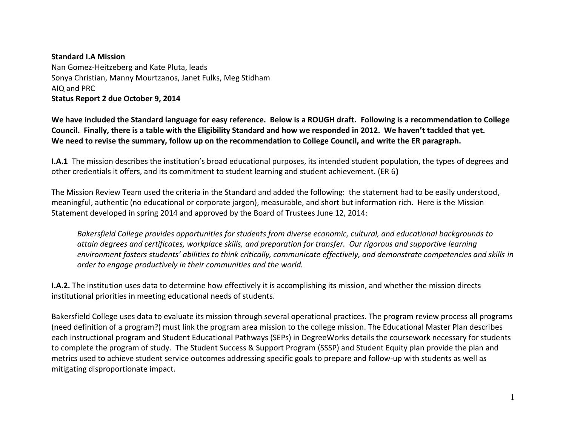## **Standard I.A Mission** Nan Gomez-Heitzeberg and Kate Pluta, leads Sonya Christian, Manny Mourtzanos, Janet Fulks, Meg Stidham AIQ and PRC **Status Report 2 due October 9, 2014**

**We have included the Standard language for easy reference. Below is a ROUGH draft. Following is a recommendation to College Council. Finally, there is a table with the Eligibility Standard and how we responded in 2012. We haven't tackled that yet. We need to revise the summary, follow up on the recommendation to College Council, and write the ER paragraph.**

**I.A.1** The mission describes the institution's broad educational purposes, its intended student population, the types of degrees and other credentials it offers, and its commitment to student learning and student achievement. (ER 6**)**

The Mission Review Team used the criteria in the Standard and added the following: the statement had to be easily understood, meaningful, authentic (no educational or corporate jargon), measurable, and short but information rich. Here is the Mission Statement developed in spring 2014 and approved by the Board of Trustees June 12, 2014:

*Bakersfield College provides opportunities for students from diverse economic, cultural, and educational backgrounds to attain degrees and certificates, workplace skills, and preparation for transfer. Our rigorous and supportive learning environment fosters students' abilities to think critically, communicate effectively, and demonstrate competencies and skills in order to engage productively in their communities and the world.* 

**I.A.2.** The institution uses data to determine how effectively it is accomplishing its mission, and whether the mission directs institutional priorities in meeting educational needs of students.

Bakersfield College uses data to evaluate its mission through several operational practices. The program review process all programs (need definition of a program?) must link the program area mission to the college mission. The Educational Master Plan describes each instructional program and Student Educational Pathways (SEPs) in DegreeWorks details the coursework necessary for students to complete the program of study. The Student Success & Support Program (SSSP) and Student Equity plan provide the plan and metrics used to achieve student service outcomes addressing specific goals to prepare and follow-up with students as well as mitigating disproportionate impact.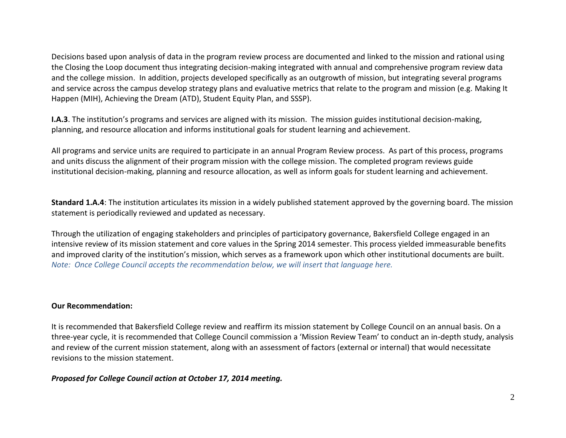Decisions based upon analysis of data in the program review process are documented and linked to the mission and rational using the Closing the Loop document thus integrating decision-making integrated with annual and comprehensive program review data and the college mission. In addition, projects developed specifically as an outgrowth of mission, but integrating several programs and service across the campus develop strategy plans and evaluative metrics that relate to the program and mission (e.g. Making It Happen (MIH), Achieving the Dream (ATD), Student Equity Plan, and SSSP).

**I.A.3**. The institution's programs and services are aligned with its mission. The mission guides institutional decision-making, planning, and resource allocation and informs institutional goals for student learning and achievement.

All programs and service units are required to participate in an annual Program Review process. As part of this process, programs and units discuss the alignment of their program mission with the college mission. The completed program reviews guide institutional decision-making, planning and resource allocation, as well as inform goals for student learning and achievement.

**Standard 1.A.4**: The institution articulates its mission in a widely published statement approved by the governing board. The mission statement is periodically reviewed and updated as necessary.

Through the utilization of engaging stakeholders and principles of participatory governance, Bakersfield College engaged in an intensive review of its mission statement and core values in the Spring 2014 semester. This process yielded immeasurable benefits and improved clarity of the institution's mission, which serves as a framework upon which other institutional documents are built. *Note: Once College Council accepts the recommendation below, we will insert that language here.*

## **Our Recommendation:**

It is recommended that Bakersfield College review and reaffirm its mission statement by College Council on an annual basis. On a three-year cycle, it is recommended that College Council commission a 'Mission Review Team' to conduct an in-depth study, analysis and review of the current mission statement, along with an assessment of factors (external or internal) that would necessitate revisions to the mission statement.

## *Proposed for College Council action at October 17, 2014 meeting.*